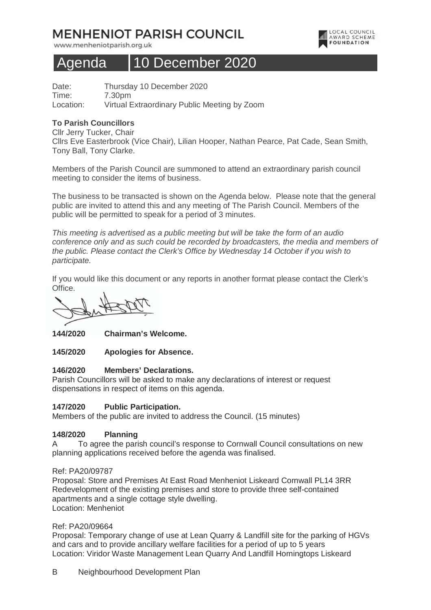# **MENHENIOT PARISH COUNCIL**

www.menheniotparish.org.uk



## Agenda 10 December 2020

Date: Thursday 10 December 2020 Time: 7.30pm Location: Virtual Extraordinary Public Meeting by Zoom

## **To Parish Councillors**

Cllr Jerry Tucker, Chair Cllrs Eve Easterbrook (Vice Chair), Lilian Hooper, Nathan Pearce, Pat Cade, Sean Smith, Tony Ball, Tony Clarke.

Members of the Parish Council are summoned to attend an extraordinary parish council meeting to consider the items of business.

The business to be transacted is shown on the Agenda below. Please note that the general public are invited to attend this and any meeting of The Parish Council. Members of the public will be permitted to speak for a period of 3 minutes.

This meeting is advertised as a public meeting but will be take the form of an audio conference only and as such could be recorded by broadcasters, the media and members of the public. Please contact the Clerk's Office by Wednesday 14 October if you wish to participate.

If you would like this document or any reports in another format please contact the Clerk's Office.

**144/2020 Chairman's Welcome.** 

**145/2020 Apologies for Absence.** 

#### **146/2020 Members' Declarations.**

Parish Councillors will be asked to make any declarations of interest or request dispensations in respect of items on this agenda.

## **147/2020 Public Participation.**

Members of the public are invited to address the Council. (15 minutes)

#### **148/2020 Planning**

A To agree the parish council's response to Cornwall Council consultations on new planning applications received before the agenda was finalised.

#### Ref: PA20/09787

Proposal: Store and Premises At East Road Menheniot Liskeard Cornwall PL14 3RR Redevelopment of the existing premises and store to provide three self-contained apartments and a single cottage style dwelling. Location: Menheniot

#### Ref: PA20/09664

Proposal: Temporary change of use at Lean Quarry & Landfill site for the parking of HGVs and cars and to provide ancillary welfare facilities for a period of up to 5 years Location: Viridor Waste Management Lean Quarry And Landfill Horningtops Liskeard